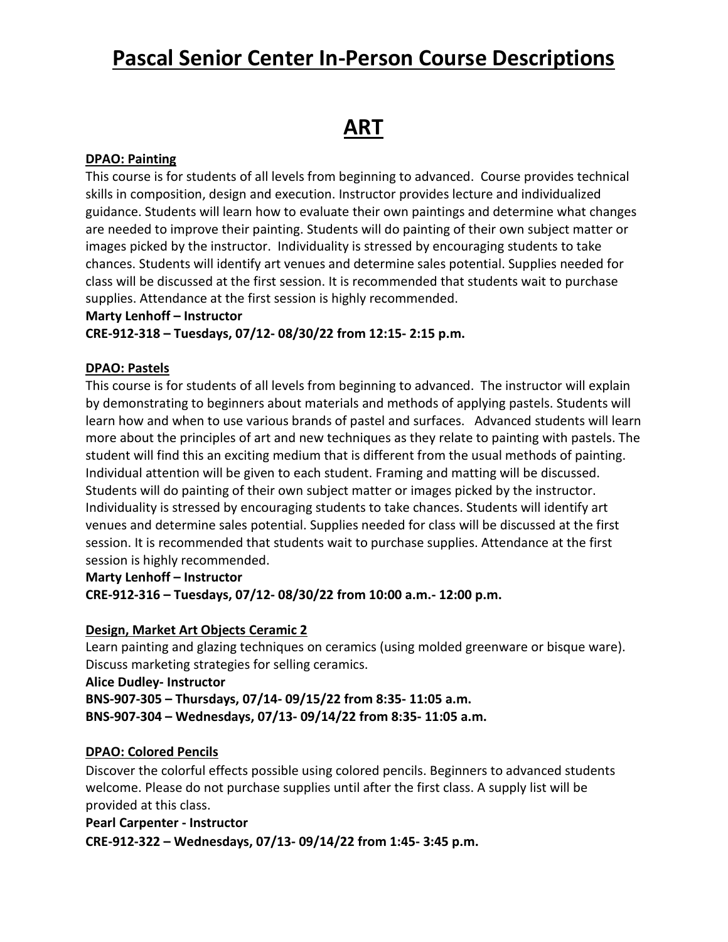# **ART**

#### **DPAO: Painting**

This course is for students of all levels from beginning to advanced. Course provides technical skills in composition, design and execution. Instructor provides lecture and individualized guidance. Students will learn how to evaluate their own paintings and determine what changes are needed to improve their painting. Students will do painting of their own subject matter or images picked by the instructor. Individuality is stressed by encouraging students to take chances. Students will identify art venues and determine sales potential. Supplies needed for class will be discussed at the first session. It is recommended that students wait to purchase supplies. Attendance at the first session is highly recommended.

#### **Marty Lenhoff – Instructor**

**CRE-912-318 – Tuesdays, 07/12- 08/30/22 from 12:15- 2:15 p.m.**

#### **DPAO: Pastels**

This course is for students of all levels from beginning to advanced. The instructor will explain by demonstrating to beginners about materials and methods of applying pastels. Students will learn how and when to use various brands of pastel and surfaces. Advanced students will learn more about the principles of art and new techniques as they relate to painting with pastels. The student will find this an exciting medium that is different from the usual methods of painting. Individual attention will be given to each student. Framing and matting will be discussed. Students will do painting of their own subject matter or images picked by the instructor. Individuality is stressed by encouraging students to take chances. Students will identify art venues and determine sales potential. Supplies needed for class will be discussed at the first session. It is recommended that students wait to purchase supplies. Attendance at the first session is highly recommended.

#### **Marty Lenhoff – Instructor**

**CRE-912-316 – Tuesdays, 07/12- 08/30/22 from 10:00 a.m.- 12:00 p.m.**

#### **Design, Market Art Objects Ceramic 2**

Learn painting and glazing techniques on ceramics (using molded greenware or bisque ware). Discuss marketing strategies for selling ceramics.

**Alice Dudley- Instructor BNS-907-305 – Thursdays, 07/14- 09/15/22 from 8:35- 11:05 a.m. BNS-907-304 – Wednesdays, 07/13- 09/14/22 from 8:35- 11:05 a.m.**

#### **DPAO: Colored Pencils**

Discover the colorful effects possible using colored pencils. Beginners to advanced students welcome. Please do not purchase supplies until after the first class. A supply list will be provided at this class.

#### **Pearl Carpenter - Instructor**

**CRE-912-322 – Wednesdays, 07/13- 09/14/22 from 1:45- 3:45 p.m.**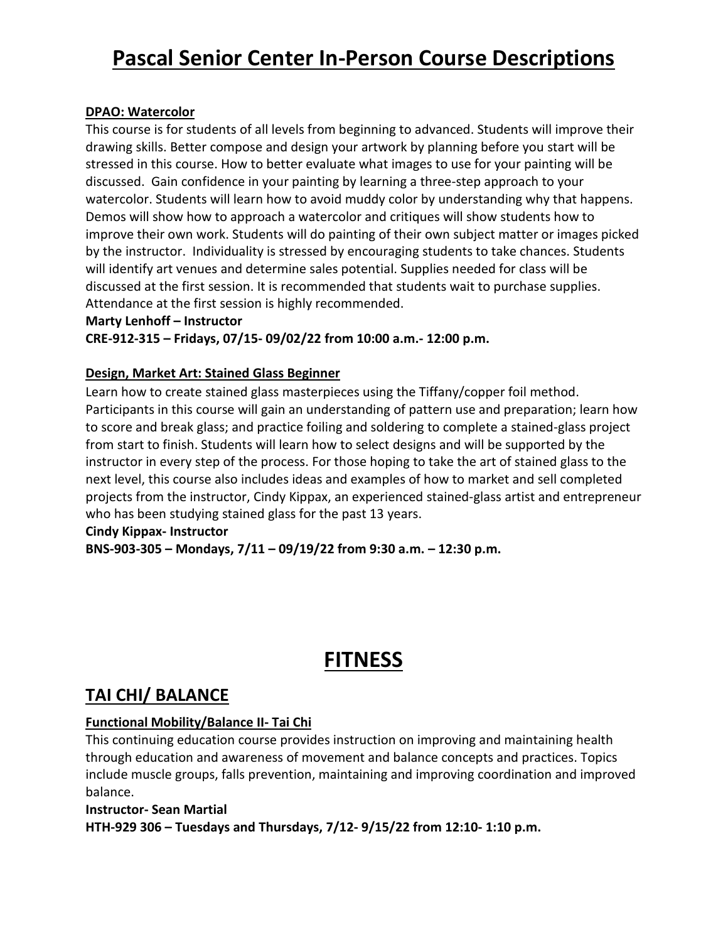#### **DPAO: Watercolor**

This course is for students of all levels from beginning to advanced. Students will improve their drawing skills. Better compose and design your artwork by planning before you start will be stressed in this course. How to better evaluate what images to use for your painting will be discussed. Gain confidence in your painting by learning a three-step approach to your watercolor. Students will learn how to avoid muddy color by understanding why that happens. Demos will show how to approach a watercolor and critiques will show students how to improve their own work. Students will do painting of their own subject matter or images picked by the instructor. Individuality is stressed by encouraging students to take chances. Students will identify art venues and determine sales potential. Supplies needed for class will be discussed at the first session. It is recommended that students wait to purchase supplies. Attendance at the first session is highly recommended.

#### **Marty Lenhoff – Instructor**

**CRE-912-315 – Fridays, 07/15- 09/02/22 from 10:00 a.m.- 12:00 p.m.**

### **Design, Market Art: Stained Glass Beginner**

Learn how to create stained glass masterpieces using the Tiffany/copper foil method. Participants in this course will gain an understanding of pattern use and preparation; learn how to score and break glass; and practice foiling and soldering to complete a stained-glass project from start to finish. Students will learn how to select designs and will be supported by the instructor in every step of the process. For those hoping to take the art of stained glass to the next level, this course also includes ideas and examples of how to market and sell completed projects from the instructor, Cindy Kippax, an experienced stained-glass artist and entrepreneur who has been studying stained glass for the past 13 years.

#### **Cindy Kippax- Instructor BNS-903-305 – Mondays, 7/11 – 09/19/22 from 9:30 a.m. – 12:30 p.m.**

# **FITNESS**

# **TAI CHI/ BALANCE**

### **Functional Mobility/Balance II- Tai Chi**

This continuing education course provides instruction on improving and maintaining health through education and awareness of movement and balance concepts and practices. Topics include muscle groups, falls prevention, maintaining and improving coordination and improved balance.

#### **Instructor- Sean Martial HTH-929 306 – Tuesdays and Thursdays, 7/12- 9/15/22 from 12:10- 1:10 p.m.**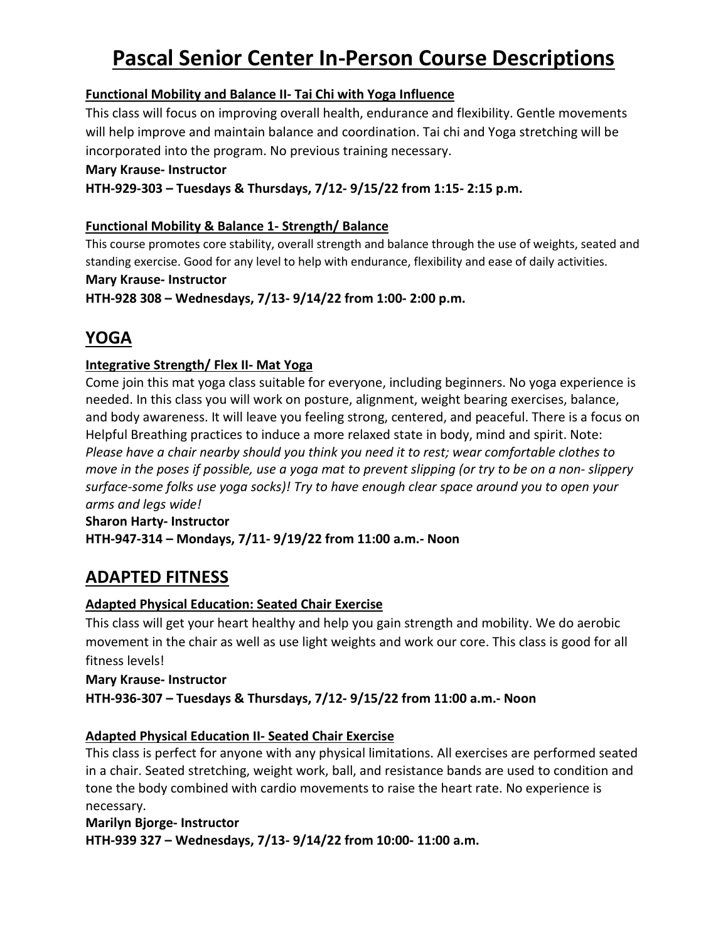## **Functional Mobility and Balance II- Tai Chi with Yoga Influence**

This class will focus on improving overall health, endurance and flexibility. Gentle movements will help improve and maintain balance and coordination. Tai chi and Yoga stretching will be incorporated into the program. No previous training necessary.

#### **Mary Krause- Instructor**

**HTH-929-303 – Tuesdays & Thursdays, 7/12- 9/15/22 from 1:15- 2:15 p.m.**

## **Functional Mobility & Balance 1- Strength/ Balance**

This course promotes core stability, overall strength and balance through the use of weights, seated and standing exercise. Good for any level to help with endurance, flexibility and ease of daily activities. **Mary Krause- Instructor**

**HTH-928 308 – Wednesdays, 7/13- 9/14/22 from 1:00- 2:00 p.m.**

# **YOGA**

## **Integrative Strength/ Flex II- Mat Yoga**

Come join this mat yoga class suitable for everyone, including beginners. No yoga experience is needed. In this class you will work on posture, alignment, weight bearing exercises, balance, and body awareness. It will leave you feeling strong, centered, and peaceful. There is a focus on Helpful Breathing practices to induce a more relaxed state in body, mind and spirit. Note: *Please have a chair nearby should you think you need it to rest; wear comfortable clothes to move in the poses if possible, use a yoga mat to prevent slipping (or try to be on a non- slippery surface-some folks use yoga socks)! Try to have enough clear space around you to open your arms and legs wide!*

**Sharon Harty- Instructor**

**HTH-947-314 – Mondays, 7/11- 9/19/22 from 11:00 a.m.- Noon**

# **ADAPTED FITNESS**

## **Adapted Physical Education: Seated Chair Exercise**

This class will get your heart healthy and help you gain strength and mobility. We do aerobic movement in the chair as well as use light weights and work our core. This class is good for all fitness levels!

**Mary Krause- Instructor HTH-936-307 – Tuesdays & Thursdays, 7/12- 9/15/22 from 11:00 a.m.- Noon**

## **Adapted Physical Education II- Seated Chair Exercise**

This class is perfect for anyone with any physical limitations. All exercises are performed seated in a chair. Seated stretching, weight work, ball, and resistance bands are used to condition and tone the body combined with cardio movements to raise the heart rate. No experience is necessary.

## **Marilyn Bjorge- Instructor HTH-939 327 – Wednesdays, 7/13- 9/14/22 from 10:00- 11:00 a.m.**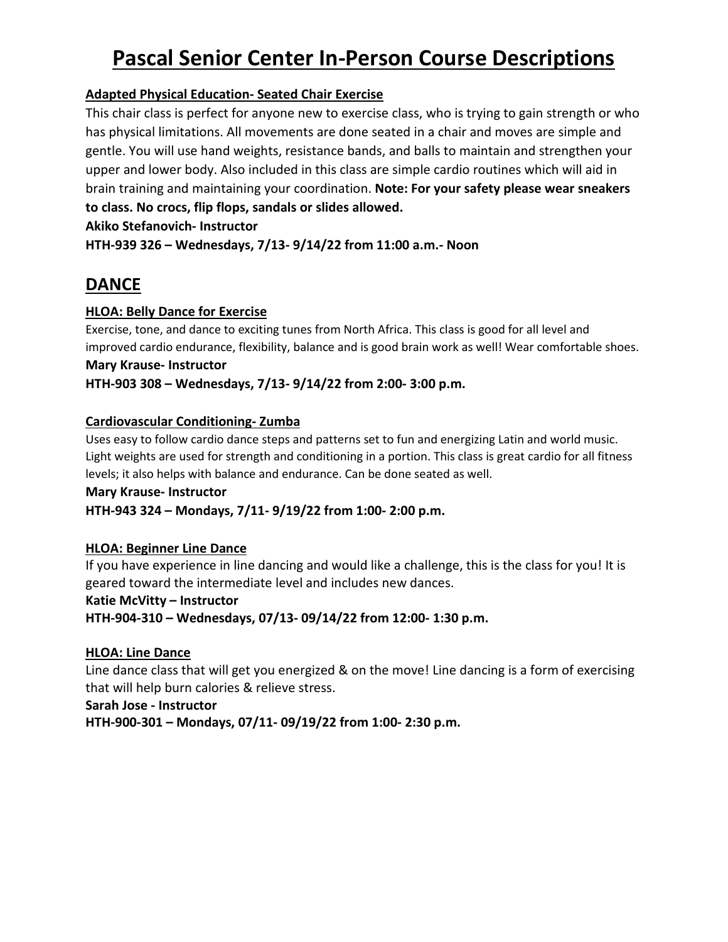## **Adapted Physical Education- Seated Chair Exercise**

This chair class is perfect for anyone new to exercise class, who is trying to gain strength or who has physical limitations. All movements are done seated in a chair and moves are simple and gentle. You will use hand weights, resistance bands, and balls to maintain and strengthen your upper and lower body. Also included in this class are simple cardio routines which will aid in brain training and maintaining your coordination. **Note: For your safety please wear sneakers to class. No crocs, flip flops, sandals or slides allowed.**

#### **Akiko Stefanovich- Instructor**

**HTH-939 326 – Wednesdays, 7/13- 9/14/22 from 11:00 a.m.- Noon**

# **DANCE**

### **HLOA: Belly Dance for Exercise**

Exercise, tone, and dance to exciting tunes from North Africa. This class is good for all level and improved cardio endurance, flexibility, balance and is good brain work as well! Wear comfortable shoes. **Mary Krause- Instructor**

# **HTH-903 308 – Wednesdays, 7/13- 9/14/22 from 2:00- 3:00 p.m.**

#### **Cardiovascular Conditioning- Zumba**

Uses easy to follow cardio dance steps and patterns set to fun and energizing Latin and world music. Light weights are used for strength and conditioning in a portion. This class is great cardio for all fitness levels; it also helps with balance and endurance. Can be done seated as well.

#### **Mary Krause- Instructor**

### **HTH-943 324 – Mondays, 7/11- 9/19/22 from 1:00- 2:00 p.m.**

### **HLOA: Beginner Line Dance**

If you have experience in line dancing and would like a challenge, this is the class for you! It is geared toward the intermediate level and includes new dances.

#### **Katie McVitty – Instructor**

**HTH-904-310 – Wednesdays, 07/13- 09/14/22 from 12:00- 1:30 p.m.**

#### **HLOA: Line Dance**

Line dance class that will get you energized & on the move! Line dancing is a form of exercising that will help burn calories & relieve stress.

**Sarah Jose - Instructor**

**HTH-900-301 – Mondays, 07/11- 09/19/22 from 1:00- 2:30 p.m.**